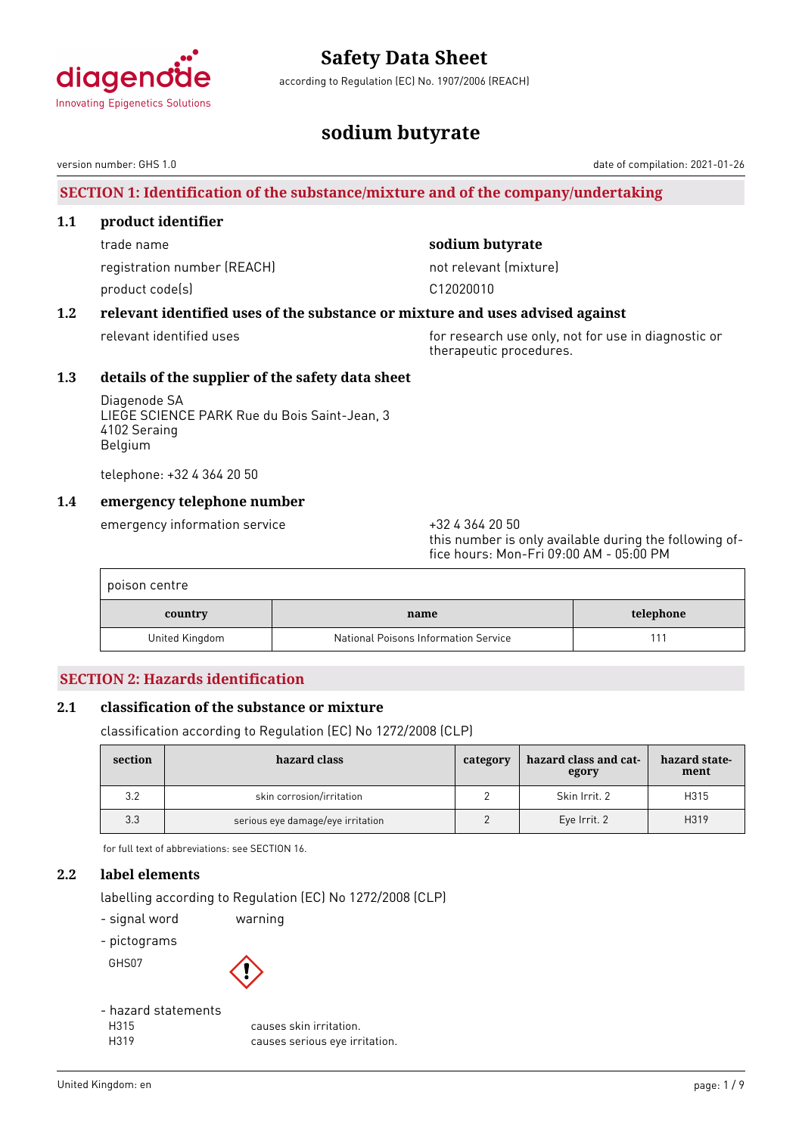

according to Regulation (EC) No. 1907/2006 (REACH)

# **sodium butyrate**

version number: GHS 1.0 date of compilation: 2021-01-26

# **SECTION 1: Identification of the substance/mixture and of the company/undertaking**

#### **1.1 product identifier**

trade name **sodium butyrate** registration number (REACH) not relevant (mixture) product code(s) and contact to contact the contact of the contact of the contact of the contact of the contact of the contact of the contact of the contact of the contact of the contact of the contact of the contact of the

# **1.2 relevant identified uses of the substance or mixture and uses advised against**

relevant identified uses for research use only, not for use in diagnostic or therapeutic procedures.

## **1.3 details of the supplier of the safety data sheet**

Diagenode SA LIEGE SCIENCE PARK Rue du Bois Saint-Jean, 3 4102 Seraing Belgium

telephone: +32 4 364 20 50

### **1.4 emergency telephone number**

emergency information service  $+3243642050$ 

this number is only available during the following office hours: Mon-Fri 09:00 AM - 05:00 PM

| poison centre  |                                      |           |
|----------------|--------------------------------------|-----------|
| country        | name                                 | telephone |
| United Kingdom | National Poisons Information Service |           |

# **SECTION 2: Hazards identification**

### **2.1 classification of the substance or mixture**

classification according to Regulation (EC) No 1272/2008 (CLP)

| section | hazard class                      | category | hazard class and cat-<br>egory | hazard state-<br>ment |
|---------|-----------------------------------|----------|--------------------------------|-----------------------|
| 3.2     | skin corrosion/irritation         |          | Skin Irrit, 2                  | H315                  |
| 3.3     | serious eye damage/eye irritation |          | Eye Irrit. 2                   | H319                  |

for full text of abbreviations: see SECTION 16.

### **2.2 label elements**

labelling according to Regulation (EC) No 1272/2008 (CLP)

- signal word warning

- pictograms

GHS07



- hazard statements

H315 causes skin irritation. H319 causes serious eye irritation.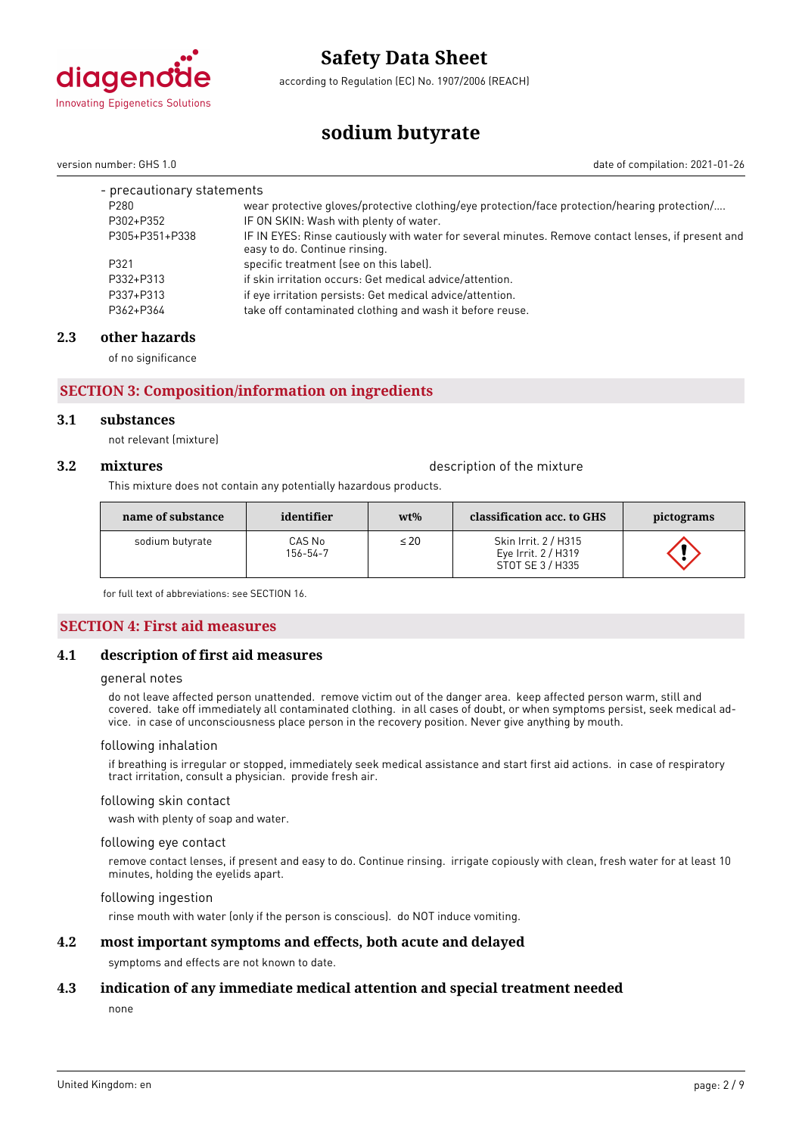

according to Regulation (EC) No. 1907/2006 (REACH)

**sodium butyrate**

version number: GHS 1.0 date of compilation: 2021-01-26

| - precautionary statements |                                                                                                                                     |  |
|----------------------------|-------------------------------------------------------------------------------------------------------------------------------------|--|
| P <sub>280</sub>           | wear protective gloves/protective clothing/eye protection/face protection/hearing protection/                                       |  |
| P302+P352                  | IF ON SKIN: Wash with plenty of water.                                                                                              |  |
| P305+P351+P338             | IF IN EYES: Rinse cautiously with water for several minutes. Remove contact lenses, if present and<br>easy to do. Continue rinsing. |  |
| P321                       | specific treatment (see on this label).                                                                                             |  |
| P332+P313                  | if skin irritation occurs: Get medical advice/attention.                                                                            |  |
| P337+P313                  | if eye irritation persists: Get medical advice/attention.                                                                           |  |
| P362+P364                  | take off contaminated clothing and wash it before reuse.                                                                            |  |

## **2.3 other hazards**

of no significance

# **SECTION 3: Composition/information on ingredients**

#### **3.1 substances**

not relevant (mixture)

**3.2 mixtures** description of the mixture

This mixture does not contain any potentially hazardous products.

| name of substance | identifier         | $wt\%$    | classification acc. to GHS                                      | pictograms |
|-------------------|--------------------|-----------|-----------------------------------------------------------------|------------|
| sodium butyrate   | CAS No<br>156-54-7 | $\leq 20$ | Skin Irrit. 2 / H315<br>Eye Irrit. 2 / H319<br>STOT SE 3 / H335 |            |

for full text of abbreviations: see SECTION 16.

#### **SECTION 4: First aid measures**

#### **4.1 description of first aid measures**

#### general notes

do not leave affected person unattended. remove victim out of the danger area. keep affected person warm, still and covered. take off immediately all contaminated clothing. in all cases of doubt, or when symptoms persist, seek medical advice. in case of unconsciousness place person in the recovery position. Never give anything by mouth.

#### following inhalation

if breathing is irregular or stopped, immediately seek medical assistance and start first aid actions. in case of respiratory tract irritation, consult a physician. provide fresh air.

#### following skin contact

wash with plenty of soap and water.

#### following eye contact

remove contact lenses, if present and easy to do. Continue rinsing. irrigate copiously with clean, fresh water for at least 10 minutes, holding the eyelids apart.

#### following ingestion

rinse mouth with water (only if the person is conscious). do NOT induce vomiting.

#### **4.2 most important symptoms and effects, both acute and delayed**

symptoms and effects are not known to date.

### **4.3 indication of any immediate medical attention and special treatment needed**

none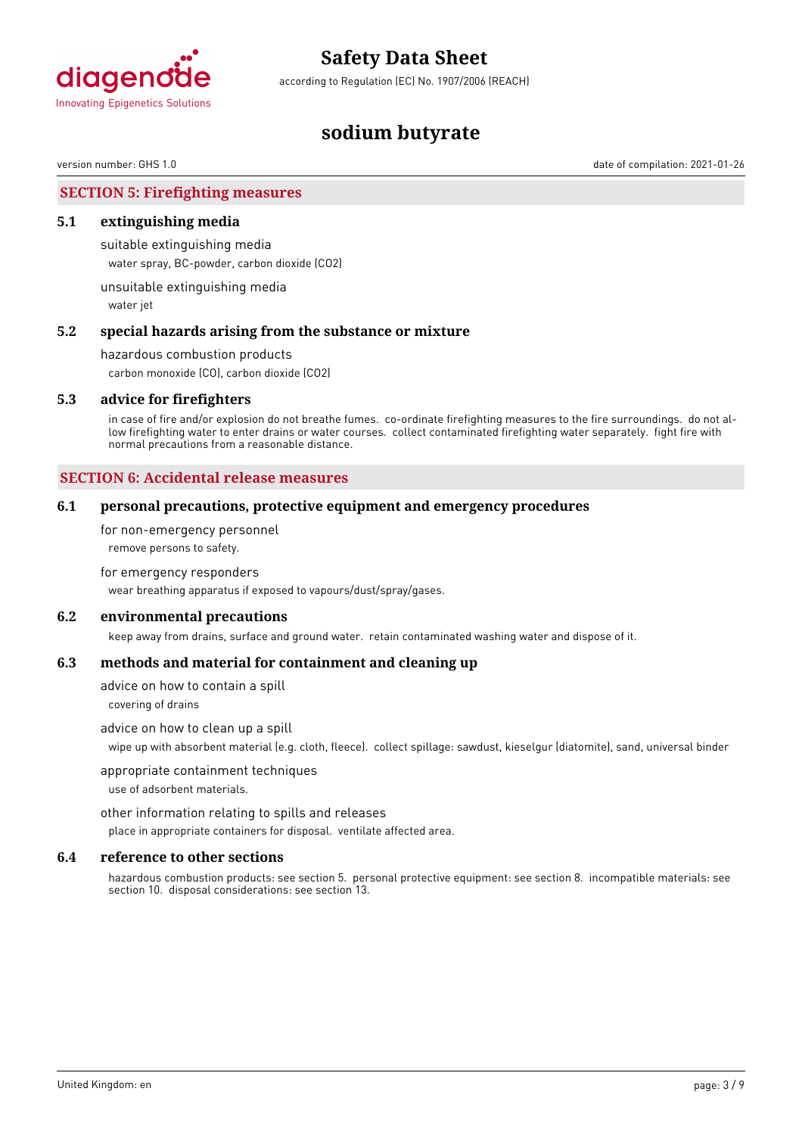

according to Regulation (EC) No. 1907/2006 (REACH)

# **sodium butyrate**

version number: GHS 1.0 date of compilation: 2021-01-26

**SECTION 5: Firefighting measures**

#### **5.1 extinguishing media**

suitable extinguishing media water spray, BC-powder, carbon dioxide (CO2)

unsuitable extinguishing media water jet

#### **5.2 special hazards arising from the substance or mixture**

hazardous combustion products

carbon monoxide (CO), carbon dioxide (CO2)

#### **5.3 advice for firefighters**

in case of fire and/or explosion do not breathe fumes. co-ordinate firefighting measures to the fire surroundings. do not allow firefighting water to enter drains or water courses. collect contaminated firefighting water separately. fight fire with normal precautions from a reasonable distance.

### **SECTION 6: Accidental release measures**

#### **6.1 personal precautions, protective equipment and emergency procedures**

for non-emergency personnel remove persons to safety.

#### for emergency responders

wear breathing apparatus if exposed to vapours/dust/spray/gases.

#### **6.2 environmental precautions**

keep away from drains, surface and ground water. retain contaminated washing water and dispose of it.

#### **6.3 methods and material for containment and cleaning up**

advice on how to contain a spill

covering of drains

#### advice on how to clean up a spill

wipe up with absorbent material (e.g. cloth, fleece). collect spillage: sawdust, kieselgur (diatomite), sand, universal binder

#### appropriate containment techniques

use of adsorbent materials.

other information relating to spills and releases

place in appropriate containers for disposal. ventilate affected area.

#### **6.4 reference to other sections**

hazardous combustion products: see section 5. personal protective equipment: see section 8. incompatible materials: see section 10. disposal considerations: see section 13.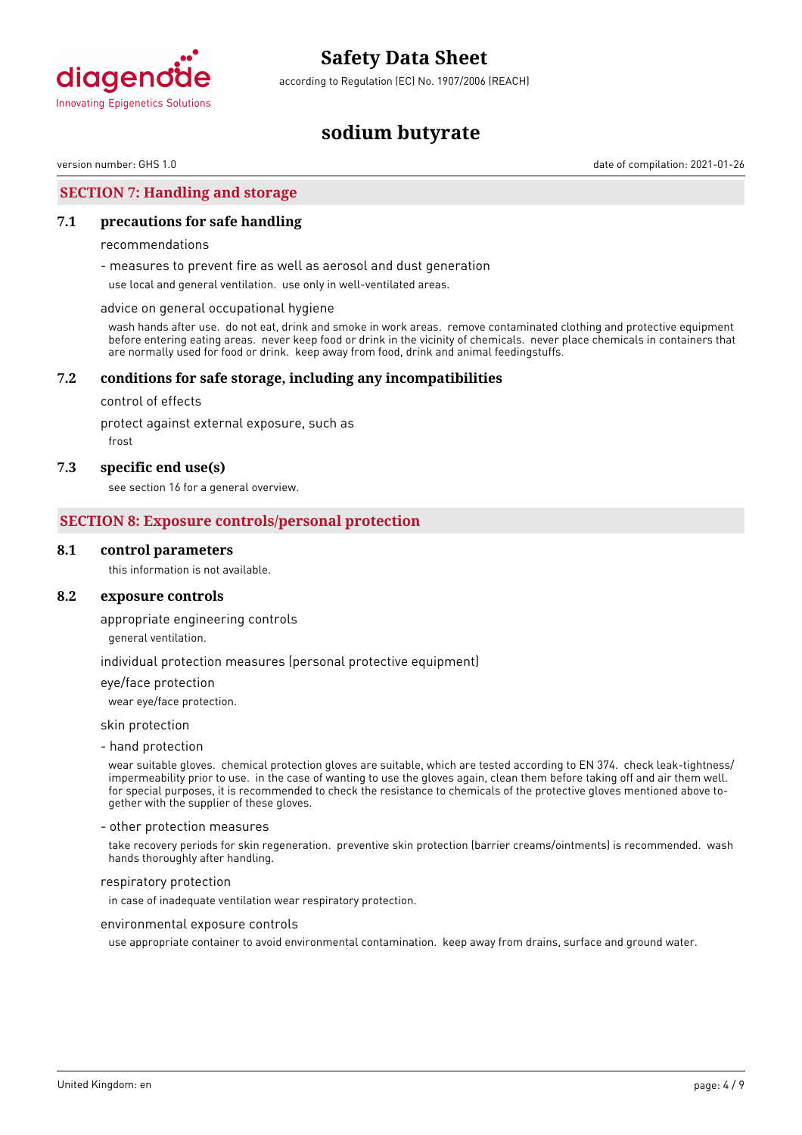

according to Regulation (EC) No. 1907/2006 (REACH)

# **sodium butyrate**

version number: GHS 1.0 date of compilation: 2021-01-26

### **SECTION 7: Handling and storage**

#### **7.1 precautions for safe handling**

#### recommendations

- measures to prevent fire as well as aerosol and dust generation

use local and general ventilation. use only in well-ventilated areas.

#### advice on general occupational hygiene

wash hands after use. do not eat, drink and smoke in work areas. remove contaminated clothing and protective equipment before entering eating areas. never keep food or drink in the vicinity of chemicals. never place chemicals in containers that are normally used for food or drink. keep away from food, drink and animal feedingstuffs.

#### **7.2 conditions for safe storage, including any incompatibilities**

control of effects

protect against external exposure, such as

frost

#### **7.3 specific end use(s)**

see section 16 for a general overview.

#### **SECTION 8: Exposure controls/personal protection**

#### **8.1 control parameters**

this information is not available.

#### **8.2 exposure controls**

#### appropriate engineering controls

general ventilation.

#### individual protection measures (personal protective equipment)

eye/face protection

wear eye/face protection.

skin protection

#### - hand protection

wear suitable gloves. chemical protection gloves are suitable, which are tested according to EN 374. check leak-tightness/ impermeability prior to use. in the case of wanting to use the gloves again, clean them before taking off and air them well. for special purposes, it is recommended to check the resistance to chemicals of the protective gloves mentioned above together with the supplier of these gloves.

#### - other protection measures

take recovery periods for skin regeneration. preventive skin protection (barrier creams/ointments) is recommended. wash hands thoroughly after handling.

#### respiratory protection

in case of inadequate ventilation wear respiratory protection.

environmental exposure controls

use appropriate container to avoid environmental contamination. keep away from drains, surface and ground water.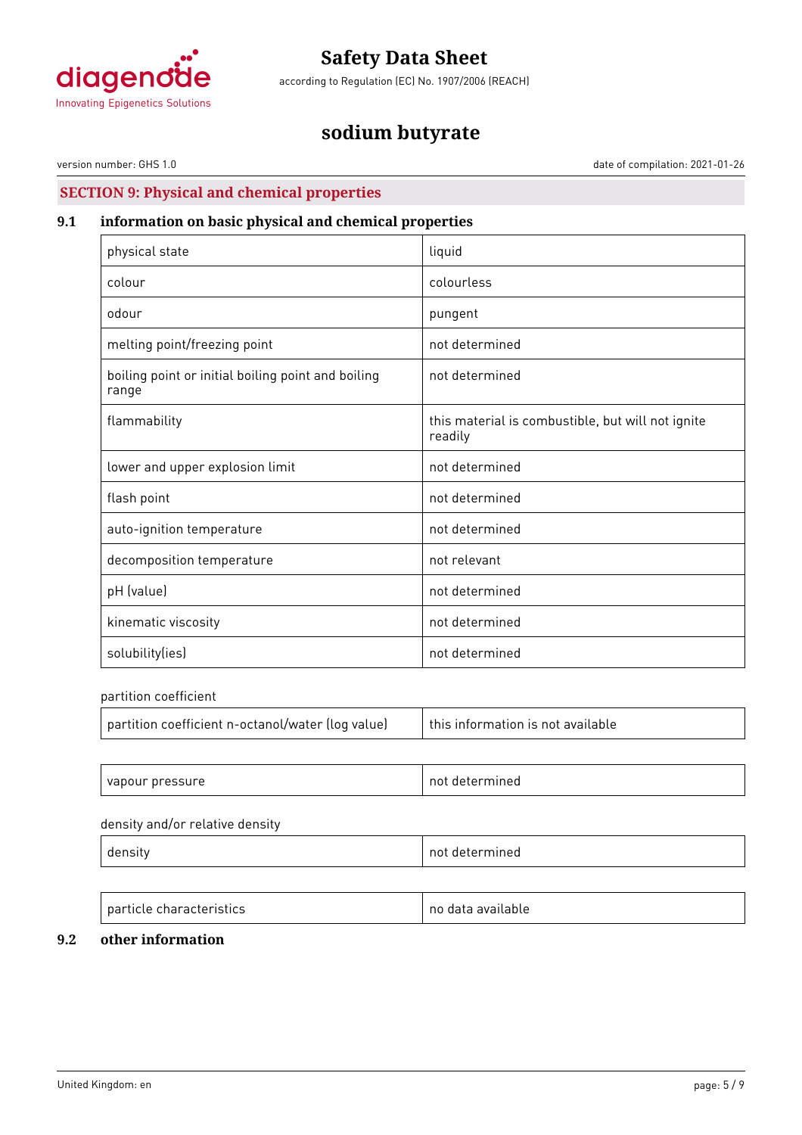

according to Regulation (EC) No. 1907/2006 (REACH)

# **sodium butyrate**

version number: GHS 1.0 date of compilation: 2021-01-26

# **SECTION 9: Physical and chemical properties**

# **9.1 information on basic physical and chemical properties**

| physical state                                              | liquid                                                       |
|-------------------------------------------------------------|--------------------------------------------------------------|
| colour                                                      | colourless                                                   |
| odour                                                       | pungent                                                      |
| melting point/freezing point                                | not determined                                               |
| boiling point or initial boiling point and boiling<br>range | not determined                                               |
| flammability                                                | this material is combustible, but will not ignite<br>readily |
| lower and upper explosion limit                             | not determined                                               |
| flash point                                                 | not determined                                               |
| auto-ignition temperature                                   | not determined                                               |
| decomposition temperature                                   | not relevant                                                 |
| pH (value)                                                  | not determined                                               |
| kinematic viscosity                                         | not determined                                               |
| solubility(ies)                                             | not determined                                               |

partition coefficient

| partition coefficient n-octanol/water (log value) | this information is not available |
|---------------------------------------------------|-----------------------------------|
|                                                   |                                   |
| vapour pressure                                   | not determined                    |

#### density and/or relative density

| ⊣ี⊢   | n.  |
|-------|-----|
| וכ    | าค⊓ |
| ີ     | .   |
| ----- |     |

| <b>particle characteristics</b> | no data available |
|---------------------------------|-------------------|

# **9.2 other information**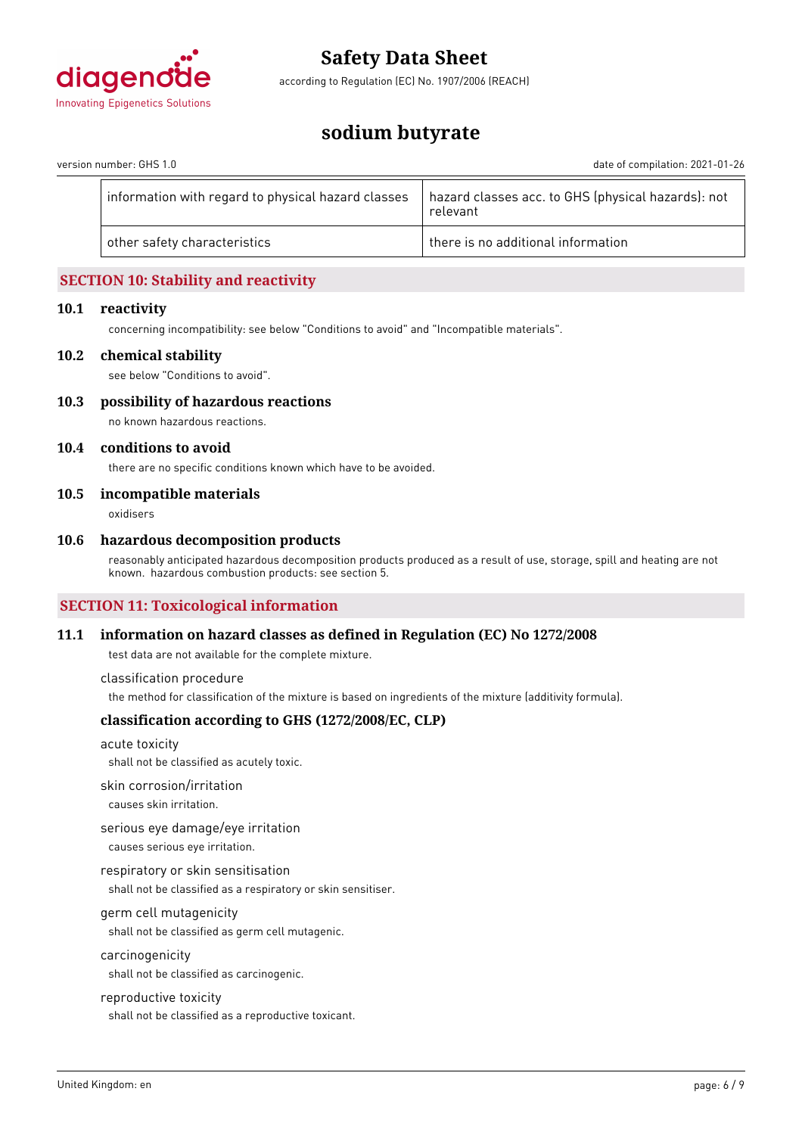

according to Regulation (EC) No. 1907/2006 (REACH)

# **sodium butyrate**

version number: GHS 1.0 date of compilation: 2021-01-26

| hazard classes acc. to GHS (physical hazards): not<br>information with regard to physical hazard classes<br>relevant |  |
|----------------------------------------------------------------------------------------------------------------------|--|
| there is no additional information<br>other safety characteristics                                                   |  |
|                                                                                                                      |  |

# **SECTION 10: Stability and reactivity**

#### **10.1 reactivity**

concerning incompatibility: see below "Conditions to avoid" and "Incompatible materials".

#### **10.2 chemical stability**

see below "Conditions to avoid".

**10.3 possibility of hazardous reactions** no known hazardous reactions.

#### **10.4 conditions to avoid**

there are no specific conditions known which have to be avoided.

#### **10.5 incompatible materials**

oxidisers

#### **10.6 hazardous decomposition products**

reasonably anticipated hazardous decomposition products produced as a result of use, storage, spill and heating are not known. hazardous combustion products: see section 5.

### **SECTION 11: Toxicological information**

#### **11.1 information on hazard classes as defined in Regulation (EC) No 1272/2008**

test data are not available for the complete mixture.

classification procedure

the method for classification of the mixture is based on ingredients of the mixture (additivity formula).

### **classification according to GHS (1272/2008/EC, CLP)**

acute toxicity shall not be classified as acutely toxic.

skin corrosion/irritation

causes skin irritation.

serious eye damage/eye irritation causes serious eye irritation.

respiratory or skin sensitisation shall not be classified as a respiratory or skin sensitiser.

#### germ cell mutagenicity

shall not be classified as germ cell mutagenic.

#### carcinogenicity

shall not be classified as carcinogenic.

#### reproductive toxicity

shall not be classified as a reproductive toxicant.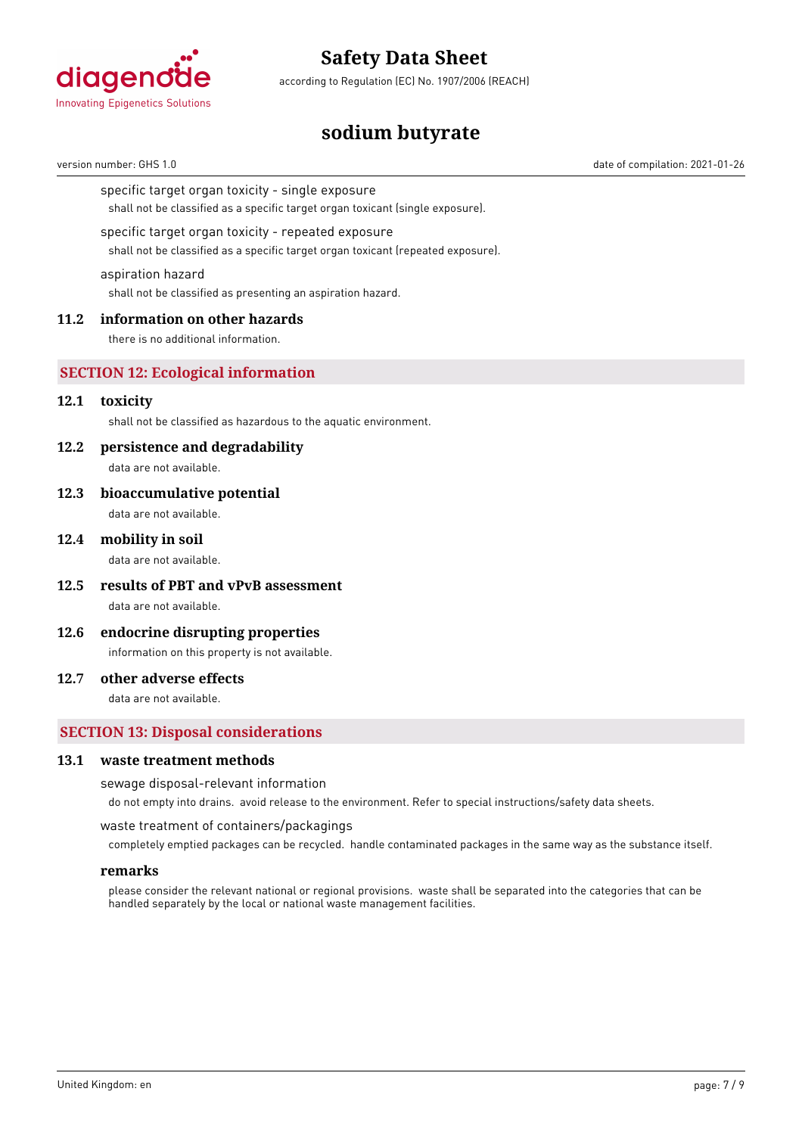

according to Regulation (EC) No. 1907/2006 (REACH)

# **sodium butyrate**

version number: GHS 1.0 date of compilation: 2021-01-26

specific target organ toxicity - single exposure

shall not be classified as a specific target organ toxicant (single exposure).

#### specific target organ toxicity - repeated exposure

shall not be classified as a specific target organ toxicant (repeated exposure).

#### aspiration hazard

shall not be classified as presenting an aspiration hazard.

#### **11.2 information on other hazards**

there is no additional information.

#### **SECTION 12: Ecological information**

#### **12.1 toxicity**

shall not be classified as hazardous to the aquatic environment.

#### **12.2 persistence and degradability**

data are not available.

**12.3 bioaccumulative potential** data are not available.

#### **12.4 mobility in soil**

data are not available.

- **12.5 results of PBT and vPvB assessment** data are not available.
- **12.6 endocrine disrupting properties**

information on this property is not available.

#### **12.7 other adverse effects**

data are not available.

### **SECTION 13: Disposal considerations**

#### **13.1 waste treatment methods**

sewage disposal-relevant information

do not empty into drains. avoid release to the environment. Refer to special instructions/safety data sheets.

#### waste treatment of containers/packagings

completely emptied packages can be recycled. handle contaminated packages in the same way as the substance itself.

#### **remarks**

please consider the relevant national or regional provisions. waste shall be separated into the categories that can be handled separately by the local or national waste management facilities.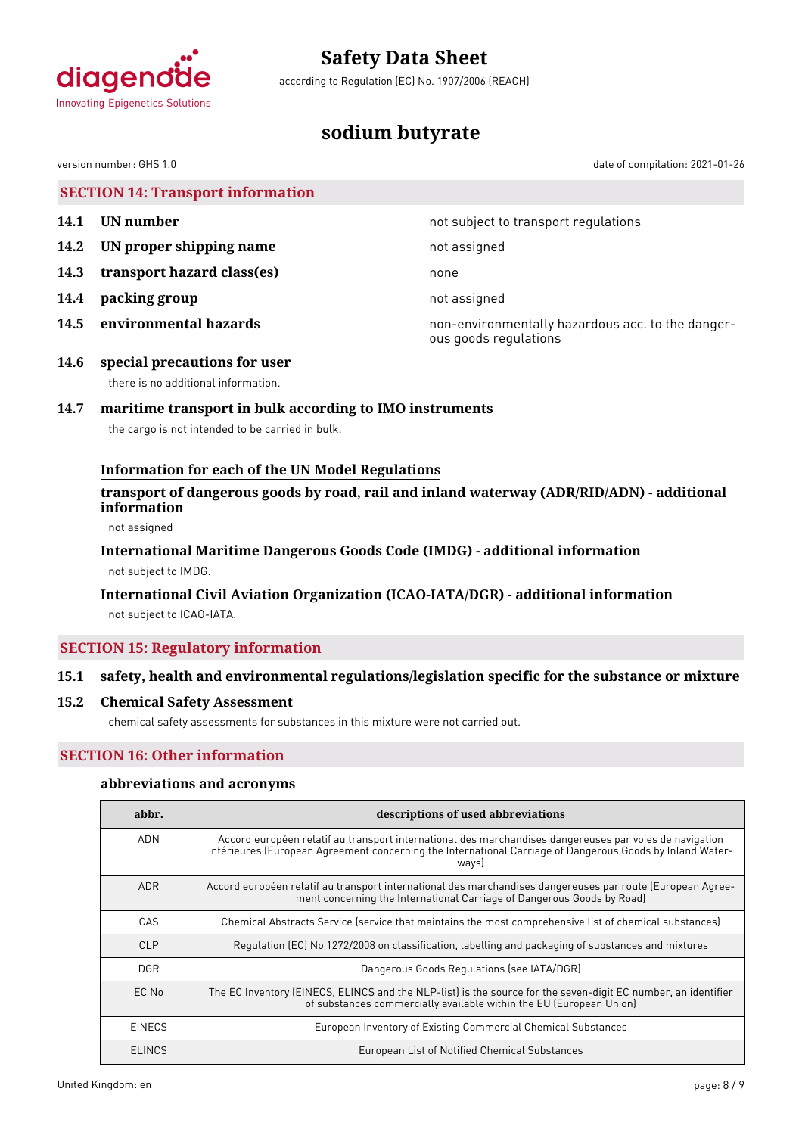

according to Regulation (EC) No. 1907/2006 (REACH)

# **sodium butyrate**

version number: GHS 1.0 date of compilation: 2021-01-26

|      | <b>SECTION 14: Transport information</b> |                                                                            |
|------|------------------------------------------|----------------------------------------------------------------------------|
| 14.1 | UN number                                | not subject to transport regulations                                       |
| 14.2 | UN proper shipping name                  | not assigned                                                               |
| 14.3 | transport hazard class(es)               | none                                                                       |
| 14.4 | packing group                            | not assigned                                                               |
| 14.5 | environmental hazards                    | non-environmentally hazardous acc. to the danger-<br>ous goods regulations |
| 14.6 | special precautions for user             |                                                                            |

there is no additional information.

# **14.7 maritime transport in bulk according to IMO instruments**

the cargo is not intended to be carried in bulk.

### **Information for each of the UN Model Regulations**

### **transport of dangerous goods by road, rail and inland waterway (ADR/RID/ADN) - additional information**

not assigned

# **International Maritime Dangerous Goods Code (IMDG) - additional information**

not subject to IMDG.

### **International Civil Aviation Organization (ICAO-IATA/DGR) - additional information**

not subject to ICAO-IATA.

### **SECTION 15: Regulatory information**

### **15.1 safety, health and environmental regulations/legislation specific for the substance or mixture**

### **15.2 Chemical Safety Assessment**

chemical safety assessments for substances in this mixture were not carried out.

### **SECTION 16: Other information**

#### **abbreviations and acronyms**

| abbr.         | descriptions of used abbreviations                                                                                                                                                                                           |
|---------------|------------------------------------------------------------------------------------------------------------------------------------------------------------------------------------------------------------------------------|
| <b>ADN</b>    | Accord européen relatif au transport international des marchandises dangereuses par voies de navigation<br>intérieures (European Agreement concerning the International Carriage of Dangerous Goods by Inland Water-<br>ways |
| <b>ADR</b>    | Accord européen relatif au transport international des marchandises dangereuses par route (European Agree-<br>ment concerning the International Carriage of Dangerous Goods by Road)                                         |
| CAS           | Chemical Abstracts Service (service that maintains the most comprehensive list of chemical substances)                                                                                                                       |
| CLP           | Regulation (EC) No 1272/2008 on classification, labelling and packaging of substances and mixtures                                                                                                                           |
| <b>DGR</b>    | Dangerous Goods Regulations (see IATA/DGR)                                                                                                                                                                                   |
| EC No         | The EC Inventory (EINECS, ELINCS and the NLP-list) is the source for the seven-digit EC number, an identifier<br>of substances commercially available within the EU (European Union)                                         |
| <b>EINECS</b> | European Inventory of Existing Commercial Chemical Substances                                                                                                                                                                |
| <b>ELINCS</b> | European List of Notified Chemical Substances                                                                                                                                                                                |